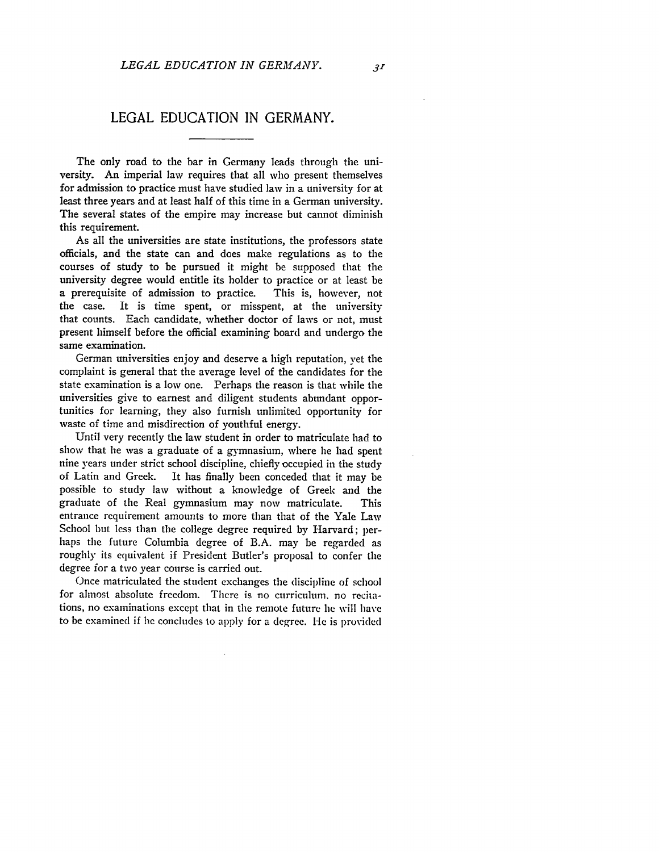## **LEGAL EDUCATION IN** GERMANY.

The only road to the bar in Germany leads through the university. An imperial law requires that all who present themselves for admission to practice must have studied law in a university for at least three years and at least half of this time in a German university. The several states of the empire may increase but cannot diminish this requirement.

As all the universities are state institutions, the professors state officials, and the state can and does make regulations as to the courses of study to be pursued it might be supposed that the university degree would entitle its holder to practice or at least be a prerequisite of admission to practice. This is, however, not the case. It is time spent, or misspent, at the university that counts. Each candidate, whether doctor of laws or not, must present himself before the official examining board and undergo the same examination.

German universities enjoy and deserve a high reputation, vet the complaint is general that the average level of the candidates for the state examination is a low one. Perhaps the reason is that while the universities give to earnest and diligent students abundant opportunities for learning, they also furnish unlimited opportunity for waste of time and misdirection of youthful energy.

Until very recently the law student in order to matriculate had to show that he was a graduate of a gymnasium, where he had spent nine years under strict school discipline, chiefly occupied in the study of Latin and Greek. It has finally been conceded that it may be possible to study law without a knowledge of Greek and the graduate of the Real gymnasium may now matriculate. This entrance requirement amounts to more than that of the Yale Law School but less than the college degree required by Harvard; perhaps the future Columbia degree of B.A. may be regarded as roughly its equivalent if President Butler's proposal to confer the degree for a two year course is carried out.

Once matriculated the student exchanges the discipline of school for almost absolute freedom. There is no curriculum, no recitations, no examinations except that in the remote future he will have to be examined if he concludes to apply for a degree. He is provided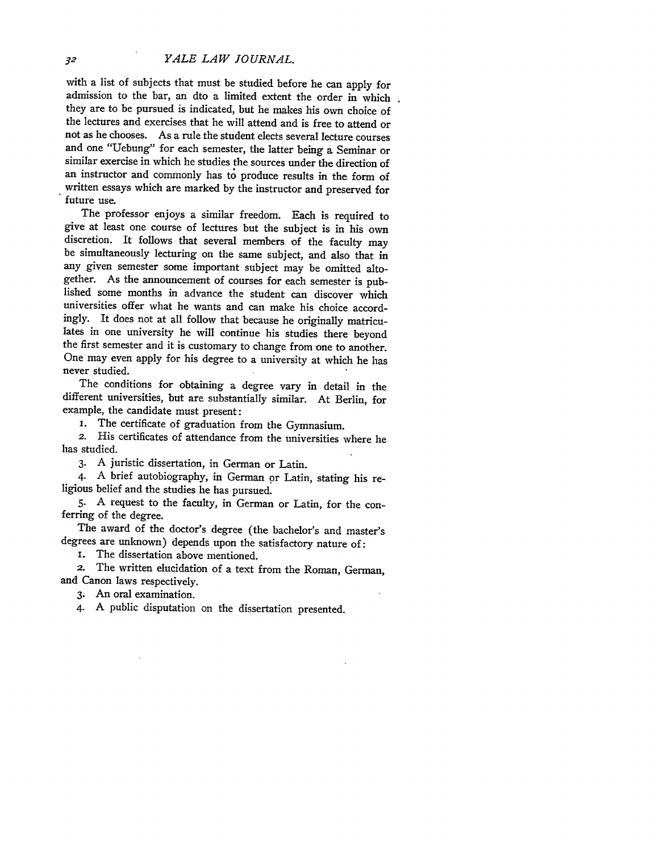with a list of subjects that must be studied before he can apply for admission to the bar, an dto a limited extent the order in which they are to be pursued is indicated, but he makes his own choice of the lectures and exercises that he will attend and is free to attend or not as he chooses. As a rule the student elects several lecture courses and one "Uebung" for each semester, the latter being a Seminar or similar exercise in which he studies the sources under the direction of an instructor and commonly has to produce results in the form of written essays which are marked by the instructor and preserved for future use.

The professor enjoys a similar freedom. Each is required to give at least one course of lectures but the subject is in his own discretion. It follows that several members of the faculty may be simultaneously lecturing on the same subject, and also that in any given semester some important subject may be omitted altogether. As the announcement of courses for each semester is pub-<br>lished some months in advance the student can discover which universities offer what he wants and can make his choice accordingly. It does not at all follow that because he originally matriculates in one university he will continue his studies there beyond the first semester and it is customary to change from one to another. One may even apply for his degree to a university at which he has never studied.

The conditions for obtaining a degree vary in detail in the different universities, but are substantially similar. At Berlin, for example, the candidate must present:

i. The certificate of graduation from the Gymnasium.

2. His certificates of attendance from the universities where he has studied.

**3.** A juristic dissertation, in German or Latin.

4. A brief autobiography, in German or Latin, stating his religious belief and the studies he has pursued.

**5.** A request to the faculty, in German or Latin, for the conferring of the degree.

The award of the doctor's degree (the bachelor's and master's degrees are unknown) depends upon the satisfactory nature of:

i. The dissertation above mentioned.

The written elucidation of a text from the Roman, German, and Canon laws respectively.

3. An oral examination.

4. A public disputation on the dissertation presented.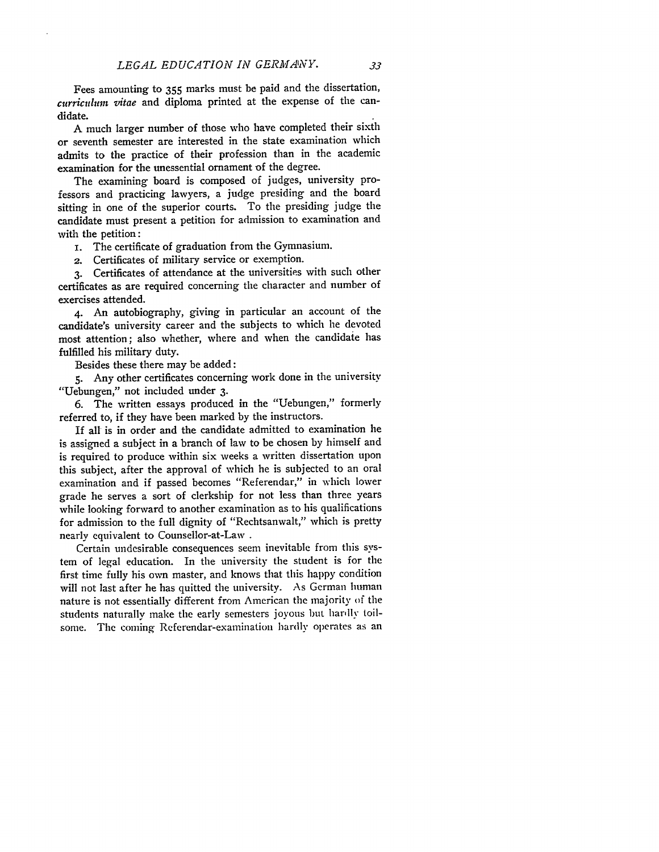Fees amounting to 355 marks must be paid and the dissertation, *curriculum vitae* and diploma printed at the expense of the candidate.

A much larger number of those who have completed their sixth or seventh semester are interested in the state examination which admits to the practice of their profession than in the academic examination for the unessential ornament of the degree.

The examining board is composed of judges, university professors and practicing lawyers, a judge presiding and the board sitting in one of the superior courts. To the presiding judge the candidate must present a petition for admission to examination and with the petition:

**i.** The certificate of graduation from the Gymnasium.

2. Certificates of military service or exemption.

**3.** Certificates of attendance at the universities with such other certificates as are required concerning the character and number of exercises attended.

4. An autobiography, giving in particular an account of the candidate's university career and the subjects to which he devoted most attention; also whether, where and when the candidate has fulfilled his military duty.

Besides these there may be added:

**5.** Any other certificates concerning work done in the university "Uebungen," not included under **3.**

6. The written essays produced in the "Uebungen," formerly referred to, if they have been marked **by** the instructors.

If all is in order and the candidate admitted to examination he is assigned a subject in a branch of law to be chosen by himself and is required to produce within six weeks a written dissertation upon this subject, after the approval of which he is subjected to an oral examination and if passed becomes "Referendar," in which lower grade he serves a sort of clerkship for not less than three years while looking forward to another examination as to his qualifications for admission to the full dignity of "Rechtsanwalt," which is pretty nearly equivalent to Counsellor-at-Law **.**

Certain undesirable consequences seem inevitable from this system of legal education. In the university the student is for the first time fully his own master, and knows that this happy condition will not last after he has quitted the university. As German human nature is not essentially different from American the majority of the students naturally make the early semesters joyous but hardly toilsome. The coming Referendar-examination hardly operates as an